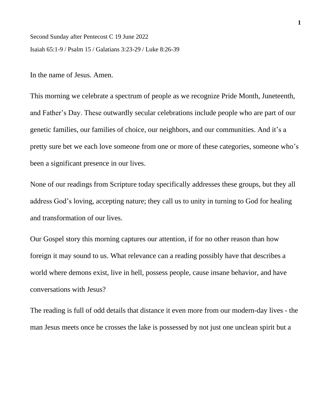Second Sunday after Pentecost C 19 June 2022 Isaiah 65:1-9 / Psalm 15 / Galatians 3:23-29 / Luke 8:26-39

In the name of Jesus. Amen.

This morning we celebrate a spectrum of people as we recognize Pride Month, Juneteenth, and Father's Day. These outwardly secular celebrations include people who are part of our genetic families, our families of choice, our neighbors, and our communities. And it's a pretty sure bet we each love someone from one or more of these categories, someone who's been a significant presence in our lives.

None of our readings from Scripture today specifically addresses these groups, but they all address God's loving, accepting nature; they call us to unity in turning to God for healing and transformation of our lives.

Our Gospel story this morning captures our attention, if for no other reason than how foreign it may sound to us. What relevance can a reading possibly have that describes a world where demons exist, live in hell, possess people, cause insane behavior, and have conversations with Jesus?

The reading is full of odd details that distance it even more from our modern-day lives - the man Jesus meets once he crosses the lake is possessed by not just one unclean spirit but a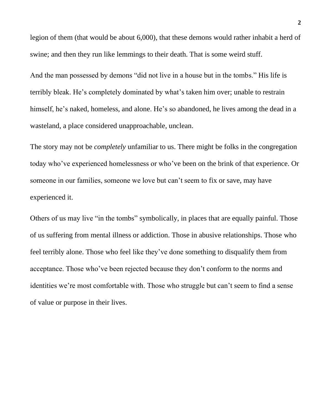legion of them (that would be about 6,000), that these demons would rather inhabit a herd of swine; and then they run like lemmings to their death. That is some weird stuff.

And the man possessed by demons "did not live in a house but in the tombs." His life is terribly bleak. He's completely dominated by what's taken him over; unable to restrain himself, he's naked, homeless, and alone. He's so abandoned, he lives among the dead in a wasteland, a place considered unapproachable, unclean.

The story may not be *completely* unfamiliar to us. There might be folks in the congregation today who've experienced homelessness or who've been on the brink of that experience. Or someone in our families, someone we love but can't seem to fix or save, may have experienced it.

Others of us may live "in the tombs" symbolically, in places that are equally painful. Those of us suffering from mental illness or addiction. Those in abusive relationships. Those who feel terribly alone. Those who feel like they've done something to disqualify them from acceptance. Those who've been rejected because they don't conform to the norms and identities we're most comfortable with. Those who struggle but can't seem to find a sense of value or purpose in their lives.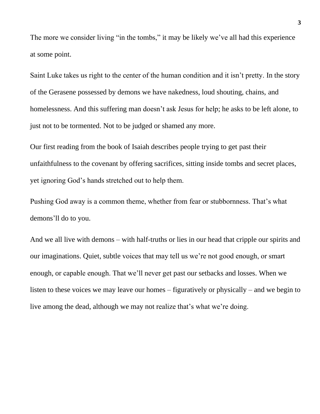The more we consider living "in the tombs," it may be likely we've all had this experience at some point.

Saint Luke takes us right to the center of the human condition and it isn't pretty. In the story of the Gerasene possessed by demons we have nakedness, loud shouting, chains, and homelessness. And this suffering man doesn't ask Jesus for help; he asks to be left alone, to just not to be tormented. Not to be judged or shamed any more.

Our first reading from the book of Isaiah describes people trying to get past their unfaithfulness to the covenant by offering sacrifices, sitting inside tombs and secret places, yet ignoring God's hands stretched out to help them.

Pushing God away is a common theme, whether from fear or stubbornness. That's what demons'll do to you.

And we all live with demons – with half-truths or lies in our head that cripple our spirits and our imaginations. Quiet, subtle voices that may tell us we're not good enough, or smart enough, or capable enough. That we'll never get past our setbacks and losses. When we listen to these voices we may leave our homes – figuratively or physically – and we begin to live among the dead, although we may not realize that's what we're doing.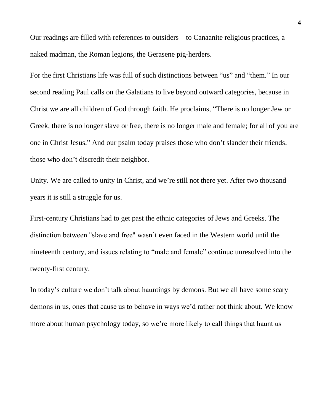Our readings are filled with references to outsiders – to Canaanite religious practices, a naked madman, the Roman legions, the Gerasene pig-herders.

For the first Christians life was full of such distinctions between "us" and "them." In our second reading Paul calls on the Galatians to live beyond outward categories, because in Christ we are all children of God through faith. He proclaims, "There is no longer Jew or Greek, there is no longer slave or free, there is no longer male and female; for all of you are one in Christ Jesus." And our psalm today praises those who don't slander their friends. those who don't discredit their neighbor.

Unity. We are called to unity in Christ, and we're still not there yet. After two thousand years it is still a struggle for us.

First-century Christians had to get past the ethnic categories of Jews and Greeks. The distinction between "slave and free" wasn't even faced in the Western world until the nineteenth century, and issues relating to "male and female" continue unresolved into the twenty-first century.

In today's culture we don't talk about hauntings by demons. But we all have some scary demons in us, ones that cause us to behave in ways we'd rather not think about. We know more about human psychology today, so we're more likely to call things that haunt us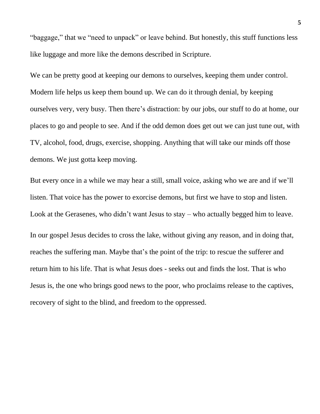"baggage," that we "need to unpack" or leave behind. But honestly, this stuff functions less like luggage and more like the demons described in Scripture.

We can be pretty good at keeping our demons to ourselves, keeping them under control. Modern life helps us keep them bound up. We can do it through denial, by keeping ourselves very, very busy. Then there's distraction: by our jobs, our stuff to do at home, our places to go and people to see. And if the odd demon does get out we can just tune out, with TV, alcohol, food, drugs, exercise, shopping. Anything that will take our minds off those demons. We just gotta keep moving.

But every once in a while we may hear a still, small voice, asking who we are and if we'll listen. That voice has the power to exorcise demons, but first we have to stop and listen. Look at the Gerasenes, who didn't want Jesus to stay – who actually begged him to leave. In our gospel Jesus decides to cross the lake, without giving any reason, and in doing that, reaches the suffering man. Maybe that's the point of the trip: to rescue the sufferer and return him to his life. That is what Jesus does - seeks out and finds the lost. That is who Jesus is, the one who brings good news to the poor, who proclaims release to the captives, recovery of sight to the blind, and freedom to the oppressed.